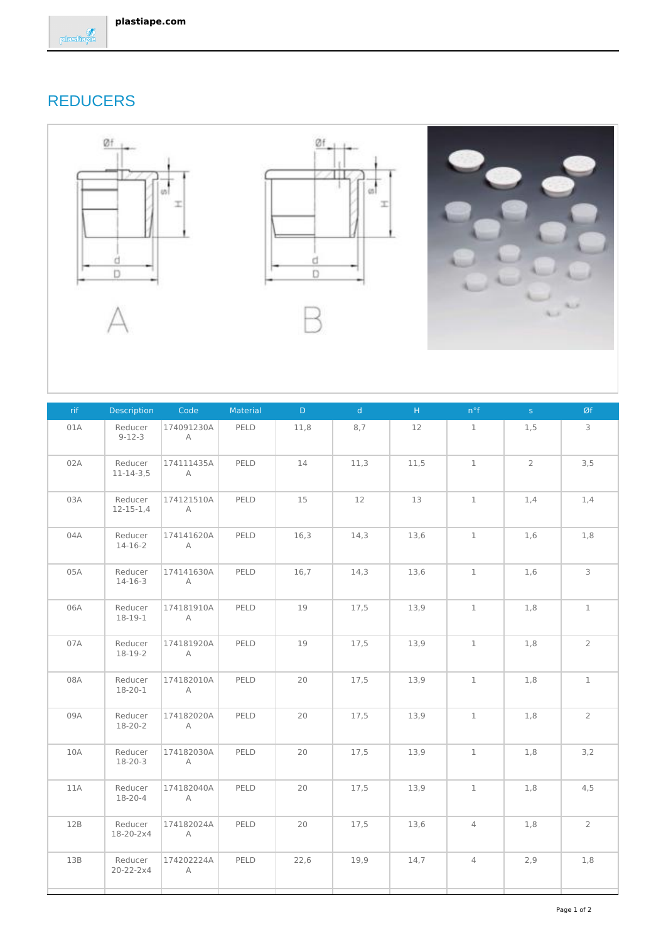

## REDUCERS







| rif | <b>Description</b>         | Code                         | Material | D.   | d    | $\mathsf{H}$ | $n^{\circ}f$   | S              | Øf             |
|-----|----------------------------|------------------------------|----------|------|------|--------------|----------------|----------------|----------------|
| 01A | Reducer<br>$9 - 12 - 3$    | 174091230A<br>$\mathsf{A}$   | PELD     | 11,8 | 8,7  | 12           | $\mathbf{1}$   | 1,5            | 3              |
| 02A | Reducer<br>$11 - 14 - 3,5$ | 174111435A<br>A              | PELD     | 14   | 11,3 | 11,5         | $\mathbf 1$    | $\overline{2}$ | 3,5            |
| 03A | Reducer<br>$12 - 15 - 1,4$ | 174121510A<br>A              | PELD     | 15   | 12   | 13           | $\mathbf 1$    | 1,4            | 1,4            |
| 04A | Reducer<br>14-16-2         | 174141620A<br>A              | PELD     | 16,3 | 14,3 | 13,6         | $\mathbf{1}$   | 1,6            | 1,8            |
| 05A | Reducer<br>$14 - 16 - 3$   | 174141630A<br>A              | PELD     | 16,7 | 14,3 | 13,6         | $\mathbf{1}$   | 1,6            | 3              |
| 06A | Reducer<br>18-19-1         | 174181910A<br>$\overline{A}$ | PELD     | 19   | 17,5 | 13,9         | $\mathbf{1}$   | 1,8            | $\mathbf{1}$   |
| 07A | Reducer<br>18-19-2         | 174181920A<br>$\overline{A}$ | PELD     | 19   | 17,5 | 13,9         | $\mathbf 1$    | 1,8            | $\overline{2}$ |
| 08A | Reducer<br>18-20-1         | 174182010A<br>$\mathsf{A}$   | PELD     | 20   | 17,5 | 13,9         | $\mathbf{1}$   | 1,8            | $\mathbf 1$    |
| 09A | Reducer<br>18-20-2         | 174182020A<br>A              | PELD     | 20   | 17,5 | 13,9         | $\mathbf 1$    | 1,8            | $\overline{2}$ |
| 10A | Reducer<br>18-20-3         | 174182030A<br>$\overline{A}$ | PELD     | 20   | 17,5 | 13,9         | $\mathbf{1}$   | 1,8            | 3,2            |
| 11A | Reducer<br>18-20-4         | 174182040A<br>A              | PELD     | 20   | 17,5 | 13,9         | $\mathbf{1}$   | 1,8            | 4,5            |
| 12B | Reducer<br>18-20-2x4       | 174182024A<br>$\overline{A}$ | PELD     | 20   | 17,5 | 13,6         | $\overline{4}$ | 1,8            | $\overline{2}$ |
| 13B | Reducer<br>20-22-2x4       | 174202224A<br>A              | PELD     | 22,6 | 19,9 | 14,7         | $\overline{4}$ | 2,9            | 1,8            |